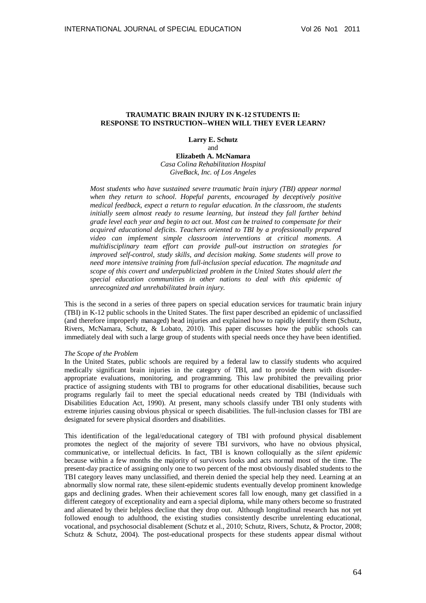# **TRAUMATIC BRAIN INJURY IN K-12 STUDENTS II: RESPONSE TO INSTRUCTION--WHEN WILL THEY EVER LEARN?**

**Larry E. Schutz** and

**Elizabeth A. McNamara** *Casa Colina Rehabilitation Hospital GiveBack, Inc. of Los Angeles* 

*Most students who have sustained severe traumatic brain injury (TBI) appear normal when they return to school. Hopeful parents, encouraged by deceptively positive medical feedback, expect a return to regular education. In the classroom, the students initially seem almost ready to resume learning, but instead they fall farther behind grade level each year and begin to act out. Most can be trained to compensate for their acquired educational deficits. Teachers oriented to TBI by a professionally prepared video can implement simple classroom interventions at critical moments. A multidisciplinary team effort can provide pull-out instruction on strategies for improved self-control, study skills, and decision making. Some students will prove to need more intensive training from full-inclusion special education. The magnitude and scope of this covert and underpublicized problem in the United States should alert the special education communities in other nations to deal with this epidemic of unrecognized and unrehabilitated brain injury.* 

This is the second in a series of three papers on special education services for traumatic brain injury (TBI) in K-12 public schools in the United States. The first paper described an epidemic of unclassified (and therefore improperly managed) head injuries and explained how to rapidly identify them (Schutz, Rivers, McNamara, Schutz, & Lobato, 2010). This paper discusses how the public schools can immediately deal with such a large group of students with special needs once they have been identified.

### *The Scope of the Problem*

In the United States, public schools are required by a federal law to classify students who acquired medically significant brain injuries in the category of TBI, and to provide them with disorderappropriate evaluations, monitoring, and programming. This law prohibited the prevailing prior practice of assigning students with TBI to programs for other educational disabilities, because such programs regularly fail to meet the special educational needs created by TBI (Individuals with Disabilities Education Act, 1990). At present, many schools classify under TBI only students with extreme injuries causing obvious physical or speech disabilities. The full-inclusion classes for TBI are designated for severe physical disorders and disabilities.

This identification of the legal/educational category of TBI with profound physical disablement promotes the neglect of the majority of severe TBI survivors, who have no obvious physical, communicative, or intellectual deficits. In fact, TBI is known colloquially as the *silent epidemic* because within a few months the majority of survivors looks and acts normal most of the time. The present-day practice of assigning only one to two percent of the most obviously disabled students to the TBI category leaves many unclassified, and therein denied the special help they need. Learning at an abnormally slow normal rate, these silent-epidemic students eventually develop prominent knowledge gaps and declining grades. When their achievement scores fall low enough, many get classified in a different category of exceptionality and earn a special diploma, while many others become so frustrated and alienated by their helpless decline that they drop out. Although longitudinal research has not yet followed enough to adulthood, the existing studies consistently describe unrelenting educational, vocational, and psychosocial disablement (Schutz et al., 2010; Schutz, Rivers, Schutz, & Proctor, 2008; Schutz & Schutz, 2004). The post-educational prospects for these students appear dismal without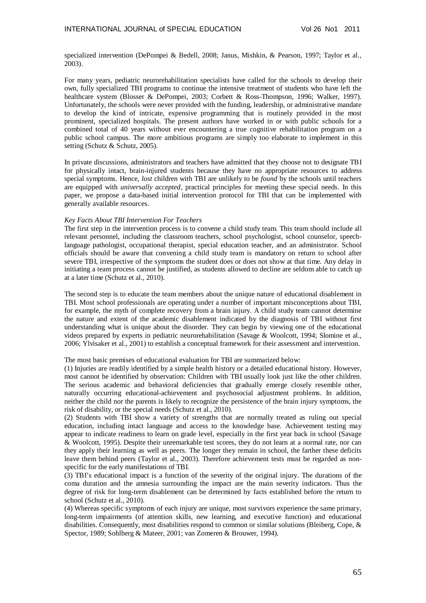specialized intervention (DePompei & Bedell, 2008; Janus, Mishkin, & Pearson, 1997; Taylor et al., 2003).

For many years, pediatric neurorehabilitation specialists have called for the schools to develop their own, fully specialized TBI programs to continue the intensive treatment of students who have left the healthcare system (Blosser & DePompei, 2003; Corbett & Ross-Thompson, 1996; Walker, 1997). Unfortunately, the schools were never provided with the funding, leadership, or administrative mandate to develop the kind of intricate, expensive programming that is routinely provided in the most prominent, specialized hospitals. The present authors have worked in or with public schools for a combined total of 40 years without ever encountering a true cognitive rehabilitation program on a public school campus. The more ambitious programs are simply too elaborate to implement in this setting (Schutz & Schutz, 2005).

In private discussions, administrators and teachers have admitted that they choose not to designate TBI for physically intact, brain-injured students because they have no appropriate resources to address special symptoms. Hence, *lost* children with TBI are unlikely to be *found* by the schools until teachers are equipped with *universally accepted,* practical principles for meeting these special needs. In this paper, we propose a data-based initial intervention protocol for TBI that can be implemented with generally available resources.

#### *Key Facts About TBI Intervention For Teachers*

The first step in the intervention process is to convene a child study team. This team should include all relevant personnel, including the classroom teachers, school psychologist, school counselor, speechlanguage pathologist, occupational therapist, special education teacher, and an administrator. School officials should be aware that convening a child study team is mandatory on return to school after severe TBI, irrespective of the symptoms the student does or does not show at that time. Any delay in initiating a team process cannot be justified, as students allowed to decline are seldom able to catch up at a later time (Schutz et al., 2010).

The second step is to educate the team members about the unique nature of educational disablement in TBI. Most school professionals are operating under a number of important misconceptions about TBI, for example, the myth of complete recovery from a brain injury. A child study team cannot determine the nature and extent of the academic disablement indicated by the diagnosis of TBI without first understanding what is unique about the disorder. They can begin by viewing one of the educational videos prepared by experts in pediatric neurorehabilitation (Savage & Woolcott, 1994; Slomine et al., 2006; Ylvisaker et al., 2001) to establish a conceptual framework for their assessment and intervention.

The most basic premises of educational evaluation for TBI are summarized below:

(1) Injuries are readily identified by a simple health history or a detailed educational history. However, most cannot be identified by observation: Children with TBI usually look just like the other children. The serious academic and behavioral deficiencies that gradually emerge closely resemble other, naturally occurring educational-achievement and psychosocial adjustment problems. In addition, neither the child nor the parents is likely to recognize the persistence of the brain injury symptoms, the risk of disability, or the special needs (Schutz et al., 2010).

(2) Students with TBI show a variety of strengths that are normally treated as ruling out special education, including intact language and access to the knowledge base. Achievement testing may appear to indicate readiness to learn on grade level, especially in the first year back in school (Savage & Woolcott, 1995). Despite their unremarkable test scores, they do not learn at a normal rate, nor can they apply their learning as well as peers. The longer they remain in school, the farther these deficits leave them behind peers (Taylor et al., 2003). Therefore achievement tests must be regarded as nonspecific for the early manifestations of TBI.

(3) TBI's educational impact is a function of the severity of the original injury. The durations of the coma duration and the amnesia surrounding the impact are the main severity indicators. Thus the degree of risk for long-term disablement can be determined by facts established before the return to school (Schutz et al., 2010).

(4) Whereas specific symptoms of each injury are unique, most survivors experience the same primary, long-term impairments (of attention skills, new learning, and executive function) and educational disabilities. Consequently, most disabilities respond to common or similar solutions (Bleiberg, Cope, & Spector, 1989; Sohlberg & Mateer, 2001; van Zomeren & Brouwer, 1994).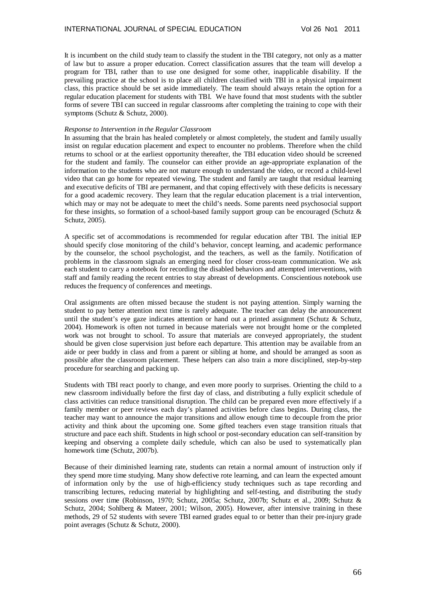It is incumbent on the child study team to classify the student in the TBI category, not only as a matter of law but to assure a proper education. Correct classification assures that the team will develop a program for TBI, rather than to use one designed for some other, inapplicable disability. If the prevailing practice at the school is to place all children classified with TBI in a physical impairment class, this practice should be set aside immediately. The team should always retain the option for a regular education placement for students with TBI. We have found that most students with the subtler forms of severe TBI can succeed in regular classrooms after completing the training to cope with their symptoms (Schutz & Schutz, 2000).

## *Response to Intervention in the Regular Classroom*

In assuming that the brain has healed completely or almost completely, the student and family usually insist on regular education placement and expect to encounter no problems. Therefore when the child returns to school or at the earliest opportunity thereafter, the TBI education video should be screened for the student and family. The counselor can either provide an age-appropriate explanation of the information to the students who are not mature enough to understand the video, or record a child-level video that can go home for repeated viewing. The student and family are taught that residual learning and executive deficits of TBI are permanent, and that coping effectively with these deficits is necessary for a good academic recovery. They learn that the regular education placement is a trial intervention, which may or may not be adequate to meet the child's needs. Some parents need psychosocial support for these insights, so formation of a school-based family support group can be encouraged (Schutz & Schutz, 2005).

A specific set of accommodations is recommended for regular education after TBI. The initial IEP should specify close monitoring of the child's behavior, concept learning, and academic performance by the counselor, the school psychologist, and the teachers, as well as the family. Notification of problems in the classroom signals an emerging need for closer cross-team communication. We ask each student to carry a notebook for recording the disabled behaviors and attempted interventions, with staff and family reading the recent entries to stay abreast of developments. Conscientious notebook use reduces the frequency of conferences and meetings.

Oral assignments are often missed because the student is not paying attention. Simply warning the student to pay better attention next time is rarely adequate. The teacher can delay the announcement until the student's eye gaze indicates attention or hand out a printed assignment (Schutz & Schutz, 2004). Homework is often not turned in because materials were not brought home or the completed work was not brought to school. To assure that materials are conveyed appropriately, the student should be given close supervision just before each departure. This attention may be available from an aide or peer buddy in class and from a parent or sibling at home, and should be arranged as soon as possible after the classroom placement. These helpers can also train a more disciplined, step-by-step procedure for searching and packing up.

Students with TBI react poorly to change, and even more poorly to surprises. Orienting the child to a new classroom individually before the first day of class, and distributing a fully explicit schedule of class activities can reduce transitional disruption. The child can be prepared even more effectively if a family member or peer reviews each day's planned activities before class begins. During class, the teacher may want to announce the major transitions and allow enough time to decouple from the prior activity and think about the upcoming one. Some gifted teachers even stage transition rituals that structure and pace each shift. Students in high school or post-secondary education can self-transition by keeping and observing a complete daily schedule, which can also be used to systematically plan homework time (Schutz, 2007b).

Because of their diminished learning rate, students can retain a normal amount of instruction only if they spend more time studying. Many show defective rote learning, and can learn the expected amount of information only by the use of high-efficiency study techniques such as tape recording and transcribing lectures, reducing material by highlighting and self-testing, and distributing the study sessions over time (Robinson, 1970; Schutz, 2005a; Schutz, 2007b; Schutz et al., 2009; Schutz & Schutz, 2004; Sohlberg & Mateer, 2001; Wilson, 2005). However, after intensive training in these methods, 29 of 52 students with severe TBI earned grades equal to or better than their pre-injury grade point averages (Schutz & Schutz, 2000).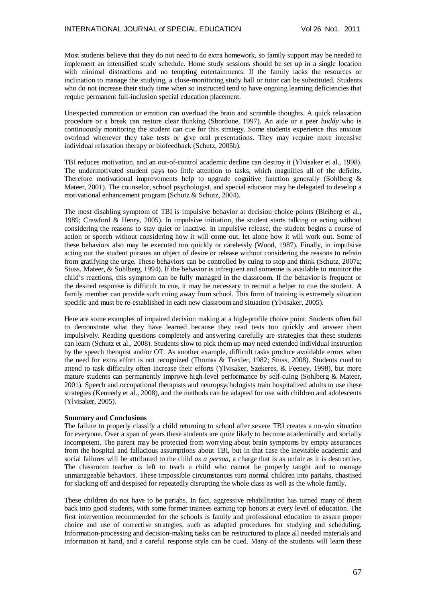Most students believe that they do not need to do extra homework, so family support may be needed to implement an intensified study schedule. Home study sessions should be set up in a single location with minimal distractions and no tempting entertainments. If the family lacks the resources or inclination to manage the studying, a close-monitoring study hall or tutor can be substituted. Students who do not increase their study time when so instructed tend to have ongoing learning deficiencies that require permanent full-inclusion special education placement.

Unexpected commotion or emotion can overload the brain and scramble thoughts. A quick relaxation procedure or a break can restore clear thinking (Sbordone, 1997). An aide or a peer *buddy* who is continuously monitoring the student can cue for this strategy. Some students experience this anxious overload whenever they take tests or give oral presentations. They may require more intensive individual relaxation therapy or biofeedback (Schutz, 2005b).

TBI reduces motivation, and an out-of-control academic decline can destroy it (Ylvisaker et al., 1998). The undermotivated student pays too little attention to tasks, which magnifies all of the deficits. Therefore motivational improvements help to upgrade cognitive function generally (Sohlberg  $\&$ Mateer, 2001). The counselor, school psychologist, and special educator may be delegated to develop a motivational enhancement program (Schutz & Schutz, 2004).

The most disabling symptom of TBI is impulsive behavior at decision choice points (Bleiberg et al., 1989; Crawford & Henry, 2005). In impulsive initiation, the student starts talking or acting without considering the reasons to stay quiet or inactive. In impulsive release, the student begins a course of action or speech without considering how it will come out, let alone how it will work out. Some of these behaviors also may be executed too quickly or carelessly (Wood, 1987). Finally, in impulsive acting out the student pursues an object of desire or release without considering the reasons to refrain from gratifying the urge. These behaviors can be controlled by cuing to stop and think (Schutz, 2007a; Stuss, Mateer, & Sohlberg, 1994). If the behavior is infrequent and someone is available to monitor the child's reactions, this symptom can be fully managed in the classroom. If the behavior is frequent or the desired response is difficult to cue, it may be necessary to recruit a helper to cue the student. A family member can provide such cuing away from school. This form of training is extremely situation specific and must be re-established in each new classroom and situation (Ylvisaker, 2005).

Here are some examples of impaired decision making at a high-profile choice point. Students often fail to demonstrate what they have learned because they read tests too quickly and answer them impulsively. Reading questions completely and answering carefully are strategies that these students can learn (Schutz et al., 2008). Students slow to pick them up may need extended individual instruction by the speech therapist and/or OT. As another example, difficult tasks produce avoidable errors when the need for extra effort is not recognized (Thomas & Trexler, 1982; Stuss, 2008). Students cued to attend to task difficulty often increase their efforts (Ylvisaker, Szekeres, & Feeney, 1998), but more mature students can permanently improve high-level performance by self-cuing (Sohlberg & Mateer, 2001). Speech and occupational therapists and neuropsychologists train hospitalized adults to use these strategies (Kennedy et al., 2008), and the methods can be adapted for use with children and adolescents (Ylvisaker, 2005).

### **Summary and Conclusions**

The failure to properly classify a child returning to school after severe TBI creates a no-win situation for everyone. Over a span of years these students are quite likely to become academically and socially incompetent. The parent may be protected from worrying about brain symptoms by empty assurances from the hospital and fallacious assumptions about TBI, but in that case the inevitable academic and social failures will be attributed to the child *as a person*, a charge that is as unfair as it is destructive. The classroom teacher is left to teach a child who cannot be properly taught and to manage unmanageable behaviors. These impossible circumstances turn normal children into pariahs, chastised for slacking off and despised for repeatedly disrupting the whole class as well as the whole family.

These children do not have to be pariahs. In fact, aggressive rehabilitation has turned many of them back into good students, with some former trainees earning top honors at every level of education. The first intervention recommended for the schools is family and professional education to assure proper choice and use of corrective strategies, such as adapted procedures for studying and scheduling. Information-processing and decision-making tasks can be restructured to place all needed materials and information at hand, and a careful response style can be cued. Many of the students will learn these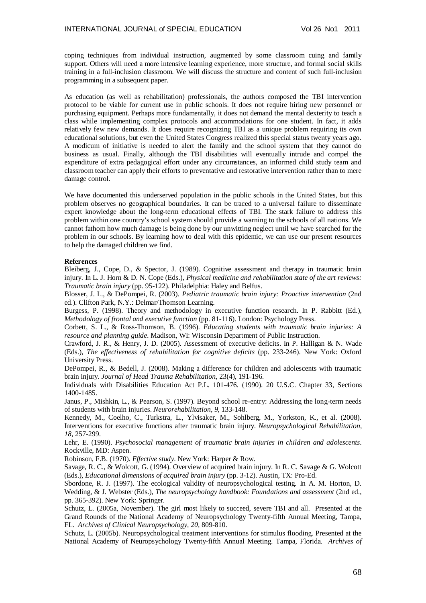coping techniques from individual instruction, augmented by some classroom cuing and family support. Others will need a more intensive learning experience, more structure, and formal social skills training in a full-inclusion classroom. We will discuss the structure and content of such full-inclusion programming in a subsequent paper.

As education (as well as rehabilitation) professionals, the authors composed the TBI intervention protocol to be viable for current use in public schools. It does not require hiring new personnel or purchasing equipment. Perhaps more fundamentally, it does not demand the mental dexterity to teach a class while implementing complex protocols and accommodations for one student. In fact, it adds relatively few new demands. It does require recognizing TBI as a unique problem requiring its own educational solutions, but even the United States Congress realized this special status twenty years ago. A modicum of initiative is needed to alert the family and the school system that they cannot do business as usual. Finally, although the TBI disabilities will eventually intrude and compel the expenditure of extra pedagogical effort under any circumstances, an informed child study team and classroom teacher can apply their efforts to preventative and restorative intervention rather than to mere damage control.

We have documented this underserved population in the public schools in the United States, but this problem observes no geographical boundaries. It can be traced to a universal failure to disseminate expert knowledge about the long-term educational effects of TBI. The stark failure to address this problem within one country's school system should provide a warning to the schools of all nations. We cannot fathom how much damage is being done by our unwitting neglect until we have searched for the problem in our schools. By learning how to deal with this epidemic, we can use our present resources to help the damaged children we find.

## **References**

Bleiberg, J., Cope, D., & Spector, J. (1989). Cognitive assessment and therapy in traumatic brain injury. In L. J. Horn & D. N. Cope (Eds.), *Physical medicine and rehabilitation state of the art reviews: Traumatic brain injury* (pp. 95-122). Philadelphia: Haley and Belfus.

Blosser, J. L., & DePompei, R. (2003). *Pediatric traumatic brain injury: Proactive intervention* (2nd ed.). Clifton Park, N.Y.: Delmar/Thomson Learning.

Burgess, P. (1998). Theory and methodology in executive function research. In P. Rabbitt (Ed.), *Methodology of frontal and executive function* (pp. 81-116). London: Psychology Press.

Corbett, S. L., & Ross-Thomson, B. (1996). *Educating students with traumatic brain injuries: A resource and planning guide*. Madison, WI: Wisconsin Department of Public Instruction.

Crawford, J. R., & Henry, J. D. (2005). Assessment of executive deficits. In P. Halligan & N. Wade (Eds.), *The effectiveness of rehabilitation for cognitive deficits* (pp. 233-246). New York: Oxford University Press.

DePompei, R., & Bedell, J. (2008). Making a difference for children and adolescents with traumatic brain injury. *Journal of Head Trauma Rehabilitation*, 23(4), 191-196.

Individuals with Disabilities Education Act P.L. 101-476. (1990). 20 U.S.C. Chapter 33, Sections 1400-1485.

Janus, P., Mishkin, L., & Pearson, S. (1997). Beyond school re-entry: Addressing the long-term needs of students with brain injuries. *Neurorehabilitation, 9,* 133-148.

Kennedy, M., Coelho, C., Turkstra, L., Ylvisaker, M., Sohlberg, M., Yorkston, K., et al. (2008). Interventions for executive functions after traumatic brain injury. *Neuropsychological Rehabilitation, 18,* 257-299.

Lehr, E. (1990). *Psychosocial management of traumatic brain injuries in children and adolescents*. Rockville, MD: Aspen.

Robinson, F.B. (1970). *Effective study*. New York: Harper & Row.

Savage, R. C., & Wolcott, G. (1994). Overview of acquired brain injury. In R. C. Savage & G. Wolcott (Eds.), *Educational dimensions of acquired brain injury* (pp. 3-12). Austin, TX: Pro-Ed.

Sbordone, R. J. (1997). The ecological validity of neuropsychological testing. In A. M. Horton, D. Wedding, & J. Webster (Eds.), *The neuropsychology handbook: Foundations and assessment* (2nd ed., pp. 365-392). New York: Springer.

Schutz, L. (2005a, November). The girl most likely to succeed, severe TBI and all. Presented at the Grand Rounds of the National Academy of Neuropsychology Twenty-fifth Annual Meeting, Tampa, FL. *Archives of Clinical Neuropsychology, 20,* 809-810.

Schutz, L. (2005b). Neuropsychological treatment interventions for stimulus flooding. Presented at the National Academy of Neuropsychology Twenty-fifth Annual Meeting. Tampa, Florida. *Archives of*